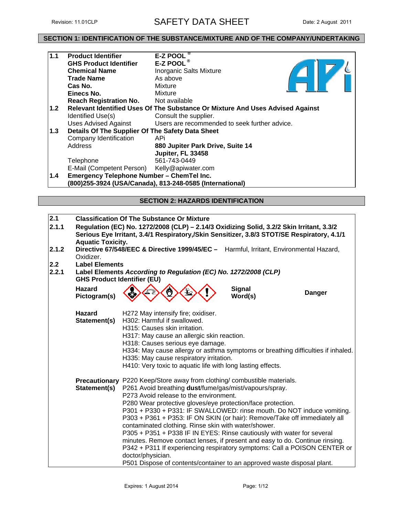# Revision: 11.01CLP **SAFETY DATA SHEET** Date: 2 August 2011

# **SECTION 1: IDENTIFICATION OF THE SUBSTANCE/MIXTURE AND OF THE COMPANY/UNDERTAKING**

| 1.1   | <b>Product Identifier</b>                        | E-Z POOL <sup>®</sup>                                                         |
|-------|--------------------------------------------------|-------------------------------------------------------------------------------|
|       | <b>GHS Product Identifier</b>                    | E-Z POOL $^{\circ}$                                                           |
|       | <b>Chemical Name</b>                             | <b>Inorganic Salts Mixture</b>                                                |
|       | <b>Trade Name</b>                                | As above                                                                      |
|       | Cas No.                                          | Mixture                                                                       |
|       | Einecs No.                                       | Mixture                                                                       |
|       | <b>Reach Registration No.</b>                    | Not available                                                                 |
| $1.2$ |                                                  | Relevant Identified Uses Of The Substance Or Mixture And Uses Advised Against |
|       | Identified Use(s)                                | Consult the supplier.                                                         |
|       | <b>Uses Advised Against</b>                      | Users are recommended to seek further advice.                                 |
| 1.3   | Details Of The Supplier Of The Safety Data Sheet |                                                                               |
|       | Company Identification                           | APi                                                                           |
|       | Address                                          | 880 Jupiter Park Drive, Suite 14                                              |
|       |                                                  | Jupiter, FL 33458                                                             |
|       | Telephone                                        | 561-743-0449                                                                  |
|       | E-Mail (Competent Person)                        | Kelly@apiwater.com                                                            |
| 1.4   | <b>Emergency Telephone Number - ChemTel Inc.</b> |                                                                               |
|       |                                                  | (800)255-3924 (USA/Canada), 813-248-0585 (International)                      |

# **SECTION 2: HAZARDS IDENTIFICATION**

| 2.1   |                                                                                                                                                                                                                    | <b>Classification Of The Substance Or Mixture</b>                                                                                                         |                          |               |  |  |  |  |  |
|-------|--------------------------------------------------------------------------------------------------------------------------------------------------------------------------------------------------------------------|-----------------------------------------------------------------------------------------------------------------------------------------------------------|--------------------------|---------------|--|--|--|--|--|
| 2.1.1 | Regulation (EC) No. 1272/2008 (CLP) - 2.14/3 Oxidizing Solid, 3.2/2 Skin Irritant, 3.3/2<br>Serious Eye Irritant, 3.4/1 Respiratory,/Skin Sensitizer, 3.8/3 STOT/SE Respiratory, 4.1/1<br><b>Aquatic Toxicity.</b> |                                                                                                                                                           |                          |               |  |  |  |  |  |
| 2.1.2 | Directive 67/548/EEC & Directive 1999/45/EC - Harmful, Irritant, Environmental Hazard,<br>Oxidizer.                                                                                                                |                                                                                                                                                           |                          |               |  |  |  |  |  |
| 2.2   | <b>Label Elements</b>                                                                                                                                                                                              |                                                                                                                                                           |                          |               |  |  |  |  |  |
| 2.2.1 | Label Elements According to Regulation (EC) No. 1272/2008 (CLP)<br><b>GHS Product Identifier (EU)</b>                                                                                                              |                                                                                                                                                           |                          |               |  |  |  |  |  |
|       | <b>Hazard</b><br>Pictogram(s)                                                                                                                                                                                      |                                                                                                                                                           | <b>Signal</b><br>Word(s) | <b>Danger</b> |  |  |  |  |  |
|       | <b>Hazard</b>                                                                                                                                                                                                      | H272 May intensify fire; oxidiser.                                                                                                                        |                          |               |  |  |  |  |  |
|       | Statement(s)                                                                                                                                                                                                       | H302: Harmful if swallowed.                                                                                                                               |                          |               |  |  |  |  |  |
|       |                                                                                                                                                                                                                    | H315: Causes skin irritation.                                                                                                                             |                          |               |  |  |  |  |  |
|       |                                                                                                                                                                                                                    | H317: May cause an allergic skin reaction.                                                                                                                |                          |               |  |  |  |  |  |
|       |                                                                                                                                                                                                                    | H318: Causes serious eye damage.                                                                                                                          |                          |               |  |  |  |  |  |
|       |                                                                                                                                                                                                                    | H334: May cause allergy or asthma symptoms or breathing difficulties if inhaled.                                                                          |                          |               |  |  |  |  |  |
|       |                                                                                                                                                                                                                    | H335: May cause respiratory irritation.                                                                                                                   |                          |               |  |  |  |  |  |
|       | H410: Very toxic to aquatic life with long lasting effects.                                                                                                                                                        |                                                                                                                                                           |                          |               |  |  |  |  |  |
|       | Precautionary P220 Keep/Store away from clothing/ combustible materials.                                                                                                                                           |                                                                                                                                                           |                          |               |  |  |  |  |  |
|       | Statement(s)                                                                                                                                                                                                       | P261 Avoid breathing dust/fume/gas/mist/vapours/spray.                                                                                                    |                          |               |  |  |  |  |  |
|       | P273 Avoid release to the environment.<br>P280 Wear protective gloves/eye protection/face protection.                                                                                                              |                                                                                                                                                           |                          |               |  |  |  |  |  |
|       |                                                                                                                                                                                                                    |                                                                                                                                                           |                          |               |  |  |  |  |  |
|       |                                                                                                                                                                                                                    | P301 + P330 + P331: IF SWALLOWED: rinse mouth. Do NOT induce vomiting.                                                                                    |                          |               |  |  |  |  |  |
|       |                                                                                                                                                                                                                    | P303 + P361 + P353: IF ON SKIN (or hair): Remove/Take off immediately all                                                                                 |                          |               |  |  |  |  |  |
|       |                                                                                                                                                                                                                    | contaminated clothing. Rinse skin with water/shower.                                                                                                      |                          |               |  |  |  |  |  |
|       |                                                                                                                                                                                                                    | P305 + P351 + P338 IF IN EYES: Rinse cautiously with water for several                                                                                    |                          |               |  |  |  |  |  |
|       |                                                                                                                                                                                                                    | minutes. Remove contact lenses, if present and easy to do. Continue rinsing.<br>P342 + P311 If experiencing respiratory symptoms: Call a POISON CENTER or |                          |               |  |  |  |  |  |
|       |                                                                                                                                                                                                                    | doctor/physician.                                                                                                                                         |                          |               |  |  |  |  |  |
|       |                                                                                                                                                                                                                    | P501 Dispose of contents/container to an approved waste disposal plant.                                                                                   |                          |               |  |  |  |  |  |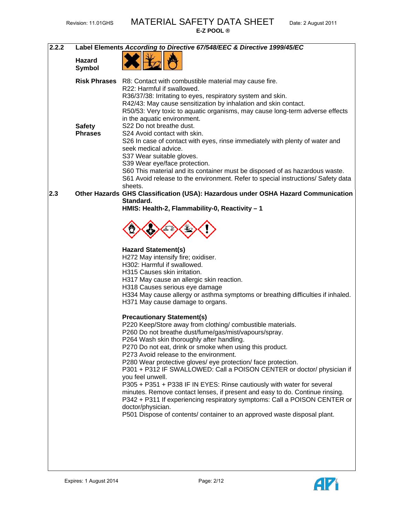| 2.2.2 |                         | Label Elements According to Directive 67/548/EEC & Directive 1999/45/EC                                                                                                                                                             |
|-------|-------------------------|-------------------------------------------------------------------------------------------------------------------------------------------------------------------------------------------------------------------------------------|
|       | <b>Hazard</b><br>Symbol |                                                                                                                                                                                                                                     |
|       | <b>Risk Phrases</b>     | R8: Contact with combustible material may cause fire.<br>R22: Harmful if swallowed.                                                                                                                                                 |
|       |                         | R36/37/38: Irritating to eyes, respiratory system and skin.                                                                                                                                                                         |
|       |                         | R42/43: May cause sensitization by inhalation and skin contact.                                                                                                                                                                     |
|       |                         | R50/53: Very toxic to aquatic organisms, may cause long-term adverse effects<br>in the aquatic environment.                                                                                                                         |
|       | <b>Safety</b>           | S22 Do not breathe dust.                                                                                                                                                                                                            |
|       | <b>Phrases</b>          | S24 Avoid contact with skin.                                                                                                                                                                                                        |
|       |                         | S26 In case of contact with eyes, rinse immediately with plenty of water and<br>seek medical advice.                                                                                                                                |
|       |                         | S37 Wear suitable gloves.                                                                                                                                                                                                           |
|       |                         | S39 Wear eye/face protection.                                                                                                                                                                                                       |
|       |                         | S60 This material and its container must be disposed of as hazardous waste.<br>S61 Avoid release to the environment. Refer to special instructions/ Safety data                                                                     |
|       |                         | sheets.                                                                                                                                                                                                                             |
| 2.3   |                         | Other Hazards GHS Classification (USA): Hazardous under OSHA Hazard Communication                                                                                                                                                   |
|       |                         | Standard.<br>HMIS: Health-2, Flammability-0, Reactivity - 1                                                                                                                                                                         |
|       |                         |                                                                                                                                                                                                                                     |
|       |                         |                                                                                                                                                                                                                                     |
|       |                         | <b>Hazard Statement(s)</b>                                                                                                                                                                                                          |
|       |                         | H272 May intensify fire; oxidiser.                                                                                                                                                                                                  |
|       |                         | H302: Harmful if swallowed.<br>H315 Causes skin irritation.                                                                                                                                                                         |
|       |                         | H317 May cause an allergic skin reaction.                                                                                                                                                                                           |
|       |                         | H318 Causes serious eye damage                                                                                                                                                                                                      |
|       |                         | H334 May cause allergy or asthma symptoms or breathing difficulties if inhaled.<br>H371 May cause damage to organs.                                                                                                                 |
|       |                         |                                                                                                                                                                                                                                     |
|       |                         | <b>Precautionary Statement(s)</b>                                                                                                                                                                                                   |
|       |                         | P220 Keep/Store away from clothing/ combustible materials.<br>P260 Do not breathe dust/fume/gas/mist/vapours/spray.                                                                                                                 |
|       |                         | P264 Wash skin thoroughly after handling.                                                                                                                                                                                           |
|       |                         | P270 Do not eat, drink or smoke when using this product.                                                                                                                                                                            |
|       |                         | P273 Avoid release to the environment.                                                                                                                                                                                              |
|       |                         | P280 Wear protective gloves/ eye protection/ face protection.<br>P301 + P312 IF SWALLOWED: Call a POISON CENTER or doctor/ physician if                                                                                             |
|       |                         | you feel unwell.                                                                                                                                                                                                                    |
|       |                         | P305 + P351 + P338 IF IN EYES: Rinse cautiously with water for several<br>minutes. Remove contact lenses, if present and easy to do. Continue rinsing.<br>P342 + P311 If experiencing respiratory symptoms: Call a POISON CENTER or |
|       |                         | doctor/physician.<br>P501 Dispose of contents/ container to an approved waste disposal plant.                                                                                                                                       |
|       |                         |                                                                                                                                                                                                                                     |
|       |                         |                                                                                                                                                                                                                                     |
|       |                         |                                                                                                                                                                                                                                     |
|       |                         |                                                                                                                                                                                                                                     |

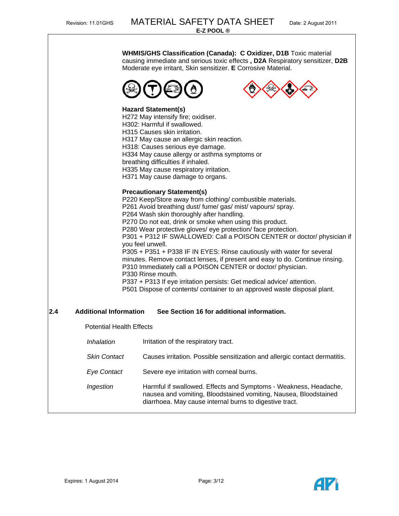**WHMIS/GHS Classification (Canada): C Oxidizer, D1B** Toxic material causing immediate and serious toxic effects **, D2A** Respiratory sensitizer, **D2B**  Moderate eye irritant, Skin sensitizer. **E** Corrosive Material.





#### **Hazard Statement(s)**

**H272 May intensify fire: oxidiser.** H302: Harmful if swallowed. H315 Causes skin irritation. H317 May cause an allergic skin reaction. H318: Causes serious eye damage. H334 May cause allergy or asthma symptoms or breathing difficulties if inhaled. H335 May cause respiratory irritation. H371 May cause damage to organs.

#### **Precautionary Statement(s)**

P220 Keep/Store away from clothing/ combustible materials. P261 Avoid breathing dust/ fume/ gas/ mist/ vapours/ spray. P264 Wash skin thoroughly after handling. P270 Do not eat, drink or smoke when using this product. P280 Wear protective gloves/ eye protection/ face protection. P301 + P312 IF SWALLOWED: Call a POISON CENTER or doctor/ physician if you feel unwell. P305 + P351 + P338 IF IN EYES: Rinse cautiously with water for several minutes. Remove contact lenses, if present and easy to do. Continue rinsing. P310 Immediately call a POISON CENTER or doctor/ physician. P330 Rinse mouth. P337 + P313 If eye irritation persists: Get medical advice/ attention. P501 Dispose of contents/ container to an approved waste disposal plant.

# **2.4 Additional Information See Section 16 for additional information.**

Potential Health Effects

| Inhalation          | Irritation of the respiratory tract.                                                                                                                                                            |
|---------------------|-------------------------------------------------------------------------------------------------------------------------------------------------------------------------------------------------|
| <b>Skin Contact</b> | Causes irritation. Possible sensitization and allergic contact dermatitis.                                                                                                                      |
| <b>Eye Contact</b>  | Severe eye irritation with corneal burns.                                                                                                                                                       |
| Ingestion           | Harmful if swallowed. Effects and Symptoms - Weakness, Headache,<br>nausea and vomiting, Bloodstained vomiting, Nausea, Bloodstained<br>diarrhoea. May cause internal burns to digestive tract. |

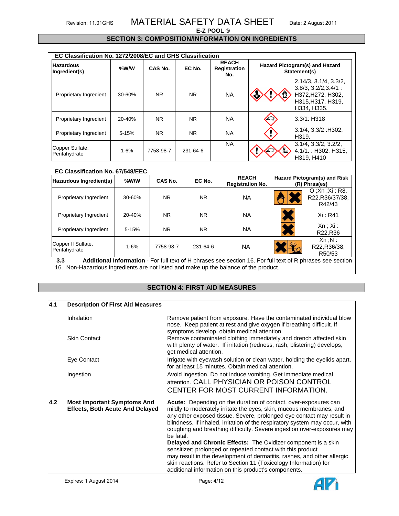# Revision: 11.01GHS MATERIAL SAFETY DATA SHEET Date: 2 August 2011

#### **E-Z POOL ®**

#### **SECTION 3: COMPOSITION/INFORMATION ON INGREDIENTS**

| EC Classification No. 1272/2008/EC and GHS Classification |           |           |          |                                     |                                                |                                                                                                           |  |
|-----------------------------------------------------------|-----------|-----------|----------|-------------------------------------|------------------------------------------------|-----------------------------------------------------------------------------------------------------------|--|
| <b>Hazardous</b><br>Ingredient(s)                         | %W/W      | CAS No.   | EC No.   | <b>REACH</b><br>Registration<br>No. | Hazard Pictogram(s) and Hazard<br>Statement(s) |                                                                                                           |  |
| Proprietary Ingredient                                    | 30-60%    | NR.       | NR.      | <b>NA</b>                           |                                                | 2.14/3, 3.1/4, 3.3/2,<br>$3.8/3, 3.2/2, 3.4/1$ :<br>H372, H272, H302,<br>H315, H317, H319,<br>H334, H335. |  |
| Proprietary Ingredient                                    | 20-40%    | NR.       | NR.      | <b>NA</b>                           | 不安                                             | $3.3/1$ : H318                                                                                            |  |
| Proprietary Ingredient                                    | $5 - 15%$ | NR.       | NR.      | <b>NA</b>                           |                                                | $3.1/4$ , $3.3/2$ : H $302$ ,<br>H319.                                                                    |  |
| Copper Sulfate,<br>Pentahydrate                           | $1 - 6%$  | 7758-98-7 | 231-64-6 | <b>NA</b>                           |                                                | $3.1/4$ , $3.3/2$ , $3.2/2$ ,<br>4.1/1.: H302, H315,<br>H319, H410                                        |  |

#### **EC Classification No. 67/548/EEC**

| Hazardous Ingredient(s)            | %W/W      | CAS No.   | EC No.   | <b>REACH</b><br><b>Registration No.</b> | Hazard Pictogram(s) and Risk<br>(R) Phras(es)                                                              |
|------------------------------------|-----------|-----------|----------|-----------------------------------------|------------------------------------------------------------------------------------------------------------|
| Proprietary Ingredient             | 30-60%    | <b>NR</b> | NR.      | <b>NA</b>                               | O: Xn : Xi : R8<br>R22, R36/37/38,<br>R42/43                                                               |
| Proprietary Ingredient             | 20-40%    | <b>NR</b> | NR.      | ΝA                                      | Xi: R41                                                                                                    |
| Proprietary Ingredient             | $5 - 15%$ | <b>NR</b> | NR.      | <b>NA</b>                               | Xn : Xi :<br>R22,R36                                                                                       |
| Copper II Sulfate,<br>Pentahydrate | $1 - 6%$  | 7758-98-7 | 231-64-6 | <b>NA</b>                               | Xn : N:<br>R22, R36/38,<br>R50/53                                                                          |
| 3.3                                |           |           |          |                                         | Additional Information - For full text of H phrases see section 16. For full text of R phrases see section |

16. Non-Hazardous ingredients are not listed and make up the balance of the product.

# **SECTION 4: FIRST AID MEASURES**

| 4.1 | <b>Description Of First Aid Measures</b>                                     |                                                                                                                                                                                                                                                                                                                                                                                                                                                                                                                                                                                                                                                                                                                                     |
|-----|------------------------------------------------------------------------------|-------------------------------------------------------------------------------------------------------------------------------------------------------------------------------------------------------------------------------------------------------------------------------------------------------------------------------------------------------------------------------------------------------------------------------------------------------------------------------------------------------------------------------------------------------------------------------------------------------------------------------------------------------------------------------------------------------------------------------------|
|     | Inhalation                                                                   | Remove patient from exposure. Have the contaminated individual blow<br>nose. Keep patient at rest and give oxygen if breathing difficult. If<br>symptoms develop, obtain medical attention.                                                                                                                                                                                                                                                                                                                                                                                                                                                                                                                                         |
|     | <b>Skin Contact</b>                                                          | Remove contaminated clothing immediately and drench affected skin<br>with plenty of water. If irritation (redness, rash, blistering) develops,<br>get medical attention.                                                                                                                                                                                                                                                                                                                                                                                                                                                                                                                                                            |
|     | Eye Contact                                                                  | Irrigate with eyewash solution or clean water, holding the eyelids apart,<br>for at least 15 minutes. Obtain medical attention.                                                                                                                                                                                                                                                                                                                                                                                                                                                                                                                                                                                                     |
|     | Ingestion                                                                    | Avoid ingestion. Do not induce vomiting. Get immediate medical<br>attention. CALL PHYSICIAN OR POISON CONTROL<br>CENTER FOR MOST CURRENT INFORMATION.                                                                                                                                                                                                                                                                                                                                                                                                                                                                                                                                                                               |
| 4.2 | <b>Most Important Symptoms And</b><br><b>Effects, Both Acute And Delayed</b> | Acute: Depending on the duration of contact, over-exposures can<br>mildly to moderately irritate the eyes, skin, mucous membranes, and<br>any other exposed tissue. Severe, prolonged eye contact may result in<br>blindness. If inhaled, irritation of the respiratory system may occur, with<br>coughing and breathing difficulty. Severe ingestion over-exposures may<br>be fatal.<br><b>Delayed and Chronic Effects:</b> The Oxidizer component is a skin<br>sensitizer; prolonged or repeated contact with this product<br>may result in the development of dermatitis, rashes, and other allergic<br>skin reactions. Refer to Section 11 (Toxicology Information) for<br>additional information on this product's components. |

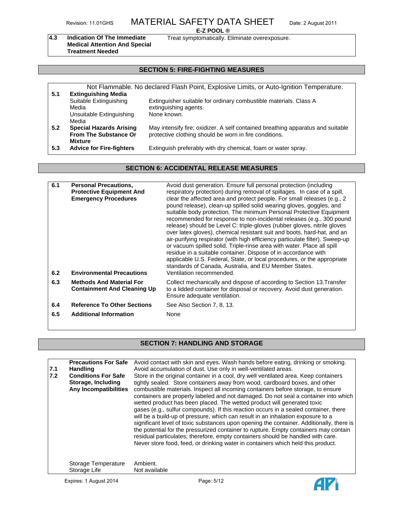# Revision: 11.01GHS MATERIAL SAFETY DATA SHEET Date: 2 August 2011

#### **E-Z POOL ®**

**4.3 Indication Of The Immediate Medical Attention And Special Treatment Needed** 

Treat symptomatically. Eliminate overexposure.

# **SECTION 5: FIRE-FIGHTING MEASURES**

| 5.1 | <b>Extinguishing Media</b>                                                       | Not Flammable. No declared Flash Point, Explosive Limits, or Auto-Ignition Temperature.                                                   |
|-----|----------------------------------------------------------------------------------|-------------------------------------------------------------------------------------------------------------------------------------------|
|     | Suitable Extinguishing<br>Media                                                  | Extinguisher suitable for ordinary combustible materials. Class A<br>extinguishing agents.                                                |
|     | Unsuitable Extinguishing<br>Media                                                | None known.                                                                                                                               |
| 5.2 | <b>Special Hazards Arising</b><br><b>From The Substance Or</b><br><b>Mixture</b> | May intensify fire; oxidizer. A self contained breathing apparatus and suitable<br>protective clothing should be worn in fire conditions. |
| 5.3 | <b>Advice for Fire-fighters</b>                                                  | Extinguish preferably with dry chemical, foam or water spray.                                                                             |

# **SECTION 6: ACCIDENTAL RELEASE MEASURES**

| 6.1<br>6.2 | <b>Personal Precautions,</b><br><b>Protective Equipment And</b><br><b>Emergency Procedures</b><br><b>Environmental Precautions</b> | Avoid dust generation. Ensure full personal protection (including<br>respiratory protection) during removal of spillages. In case of a spill,<br>clear the affected area and protect people. For small releases (e.g., 2)<br>pound release), clean-up spilled solid wearing gloves, goggles, and<br>suitable body protection. The minimum Personal Protective Equipment<br>recommended for response to non-incidental releases (e.g., 300 pound<br>release) should be Level C: triple-gloves (rubber gloves, nitrile gloves<br>over latex gloves), chemical resistant suit and boots, hard-hat, and an<br>air-purifying respirator (with high efficiency particulate filter). Sweep-up<br>or vacuum spilled solid. Triple-rinse area with water. Place all spill<br>residue in a suitable container. Dispose of in accordance with<br>applicable U.S. Federal, State, or local procedures, or the appropriate<br>standards of Canada, Australia, and EU Member States.<br>Ventilation recommended. |
|------------|------------------------------------------------------------------------------------------------------------------------------------|----------------------------------------------------------------------------------------------------------------------------------------------------------------------------------------------------------------------------------------------------------------------------------------------------------------------------------------------------------------------------------------------------------------------------------------------------------------------------------------------------------------------------------------------------------------------------------------------------------------------------------------------------------------------------------------------------------------------------------------------------------------------------------------------------------------------------------------------------------------------------------------------------------------------------------------------------------------------------------------------------|
| 6.3        | <b>Methods And Material For</b><br><b>Containment And Cleaning Up</b>                                                              | Collect mechanically and dispose of according to Section 13. Transfer<br>to a lidded container for disposal or recovery. Avoid dust generation.<br>Ensure adequate ventilation.                                                                                                                                                                                                                                                                                                                                                                                                                                                                                                                                                                                                                                                                                                                                                                                                                    |
| 6.4        | <b>Reference To Other Sections</b>                                                                                                 | See Also Section 7, 8, 13.                                                                                                                                                                                                                                                                                                                                                                                                                                                                                                                                                                                                                                                                                                                                                                                                                                                                                                                                                                         |
| 6.5        | <b>Additional Information</b>                                                                                                      | None                                                                                                                                                                                                                                                                                                                                                                                                                                                                                                                                                                                                                                                                                                                                                                                                                                                                                                                                                                                               |

# **SECTION 7: HANDLING AND STORAGE**

| 7.1<br>7.2 | <b>Precautions For Safe</b><br>Handling<br><b>Conditions For Safe</b><br>Storage, Including<br>Any Incompatibilities | Avoid contact with skin and eyes. Wash hands before eating, drinking or smoking.<br>Avoid accumulation of dust. Use only in well-ventilated areas.<br>Store in the original container in a cool, dry well ventilated area. Keep containers<br>tightly sealed. Store containers away from wood, cardboard boxes, and other<br>combustible materials. Inspect all incoming containers before storage, to ensure<br>containers are properly labeled and not damaged. Do not seal a container into which<br>wetted product has been placed. The wetted product will generated toxic<br>gases (e.g., sulfur compounds). If this reaction occurs in a sealed container, there<br>will be a build-up of pressure, which can result in an inhalation exposure to a<br>significant level of toxic substances upon opening the container. Additionally, there is<br>the potential for the pressurized container to rupture. Empty containers may contain<br>residual particulates; therefore, empty containers should be handled with care.<br>Never store food, feed, or drinking water in containers which held this product. |
|------------|----------------------------------------------------------------------------------------------------------------------|-----------------------------------------------------------------------------------------------------------------------------------------------------------------------------------------------------------------------------------------------------------------------------------------------------------------------------------------------------------------------------------------------------------------------------------------------------------------------------------------------------------------------------------------------------------------------------------------------------------------------------------------------------------------------------------------------------------------------------------------------------------------------------------------------------------------------------------------------------------------------------------------------------------------------------------------------------------------------------------------------------------------------------------------------------------------------------------------------------------------------|
|            | Storage Temperature<br>Storage Life                                                                                  | Ambient.<br>Not available                                                                                                                                                                                                                                                                                                                                                                                                                                                                                                                                                                                                                                                                                                                                                                                                                                                                                                                                                                                                                                                                                             |

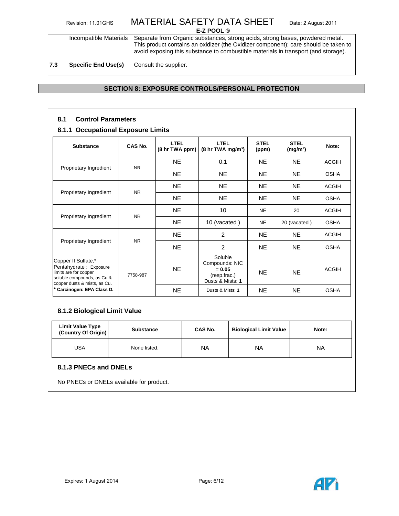Incompatible Materials Separate from Organic substances, strong acids, strong bases, powdered metal. This product contains an oxidizer (the Oxidizer component); care should be taken to avoid exposing this substance to combustible materials in transport (and storage).

**7.3 Specific End Use(s)** Consult the supplier.

# **SECTION 8: EXPOSURE CONTROLS/PERSONAL PROTECTION**

### **8.1 Control Parameters**

#### **8.1.1 Occupational Exposure Limits**

| <b>Substance</b>                                                                                                                     | CAS No.        | LTEL<br>(8 hr TWA ppm) | <b>LTEL</b><br>$(8 \text{ hr} \text{ TWA} \text{ mg/m}^3)$                | <b>STEL</b><br>(ppm) | <b>STEL</b><br>(mg/m <sup>3</sup> ) | Note:        |
|--------------------------------------------------------------------------------------------------------------------------------------|----------------|------------------------|---------------------------------------------------------------------------|----------------------|-------------------------------------|--------------|
|                                                                                                                                      | <b>NR</b>      | NE.                    | 0.1                                                                       | <b>NE</b>            | NE.                                 | <b>ACGIH</b> |
| Proprietary Ingredient                                                                                                               |                | NE.                    | <b>NE</b>                                                                 | NE.                  | <b>NE</b>                           | <b>OSHA</b>  |
|                                                                                                                                      | <b>NR</b>      | NE.                    | <b>NE</b>                                                                 | <b>NE</b>            | <b>NE</b>                           | <b>ACGIH</b> |
| Proprietary Ingredient                                                                                                               |                | NE.                    | <b>NE</b>                                                                 | <b>NE</b>            | NE.                                 | <b>OSHA</b>  |
| Proprietary Ingredient                                                                                                               | N <sub>R</sub> | NE.                    | 10                                                                        | <b>NE</b>            | 20                                  | <b>ACGIH</b> |
|                                                                                                                                      |                | NE.                    | 10 (vacated)                                                              | <b>NE</b>            | 20 (vacated)                        | <b>OSHA</b>  |
|                                                                                                                                      |                | NE.                    | 2                                                                         | <b>NE</b>            | NE.                                 | <b>ACGIH</b> |
| Proprietary Ingredient                                                                                                               | <b>NR</b>      | NE.                    | 2                                                                         | <b>NE</b>            | <b>NE</b>                           | <b>OSHA</b>  |
| Copper II Sulfate,*<br>Pentahydrate; Exposure<br>limits are for copper<br>soluble compounds, as Cu &<br>copper dusts & mists, as Cu. | 7758-987       | <b>NE</b>              | Soluble<br>Compounds: NIC<br>$= 0.05$<br>(resp.frac.)<br>Dusts & Mists: 1 | <b>NE</b>            | NE.                                 | <b>ACGIH</b> |
| * Carcinogen: EPA Class D.                                                                                                           |                | <b>NE</b>              | Dusts & Mists: 1                                                          | <b>NE</b>            | <b>NE</b>                           | <b>OSHA</b>  |

# **8.1.2 Biological Limit Value**

| <b>Limit Value Type</b><br>(Country Of Origin) | <b>Substance</b> | <b>CAS No.</b> | <b>Biological Limit Value</b> | Note: |  |  |  |  |  |
|------------------------------------------------|------------------|----------------|-------------------------------|-------|--|--|--|--|--|
| <b>USA</b>                                     | None listed.     | NА             | ΝA                            | ΝA    |  |  |  |  |  |
| 8.1.3 PNECs and DNELs                          |                  |                |                               |       |  |  |  |  |  |
| No PNECs or DNELs available for product.       |                  |                |                               |       |  |  |  |  |  |

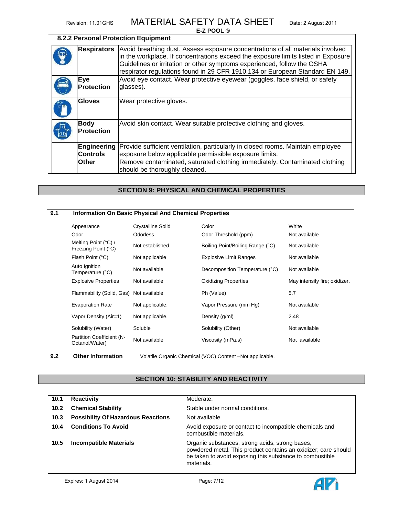# **8.2.2 Personal Protection Equipment**

| <b>Respirators</b>               | Avoid breathing dust. Assess exposure concentrations of all materials involved<br>in the workplace. If concentrations exceed the exposure limits listed in Exposure<br>Guidelines or irritation or other symptoms experienced, follow the OSHA |
|----------------------------------|------------------------------------------------------------------------------------------------------------------------------------------------------------------------------------------------------------------------------------------------|
|                                  | respirator regulations found in 29 CFR 1910.134 or European Standard EN 149.                                                                                                                                                                   |
| <b>Eye</b><br>Protection         | Avoid eye contact. Wear protective eyewear (goggles, face shield, or safety<br>glasses).                                                                                                                                                       |
| <b>Gloves</b>                    | Wear protective gloves.                                                                                                                                                                                                                        |
| <b>Body</b><br><b>Protection</b> | Avoid skin contact. Wear suitable protective clothing and gloves.                                                                                                                                                                              |
| <b>Controls</b>                  | <b>Engineering</b> Provide sufficient ventilation, particularly in closed rooms. Maintain employee<br>exposure below applicable permissible exposure limits.                                                                                   |
| <b>Other</b>                     | Remove contaminated, saturated clothing immediately. Contaminated clothing<br>should be thoroughly cleaned.                                                                                                                                    |

# **SECTION 9: PHYSICAL AND CHEMICAL PROPERTIES**

| 9.1 | <b>Information On Basic Physical And Chemical Properties</b>   |                          |                                                         |                               |
|-----|----------------------------------------------------------------|--------------------------|---------------------------------------------------------|-------------------------------|
|     | Appearance                                                     | <b>Crystalline Solid</b> | Color                                                   | White                         |
|     | Odor                                                           | <b>Odorless</b>          | Odor Threshold (ppm)                                    | Not available                 |
|     | Melting Point (°C) /<br>Not established<br>Freezing Point (°C) |                          | Boiling Point/Boiling Range (°C)                        | Not available                 |
|     | Flash Point (°C)                                               | Not applicable           | <b>Explosive Limit Ranges</b>                           | Not available                 |
|     | Auto Ignition<br>Not available<br>Temperature (°C)             |                          | Decomposition Temperature (°C)                          | Not available                 |
|     | <b>Explosive Properties</b>                                    | Not available            | <b>Oxidizing Properties</b>                             | May intensify fire; oxidizer. |
|     | Flammability (Solid, Gas) Not available                        |                          | Ph (Value)                                              | 5.7                           |
|     | <b>Evaporation Rate</b>                                        | Not applicable.          | Vapor Pressure (mm Hg)                                  | Not available                 |
|     | Vapor Density (Air=1)                                          | Not applicable.          | Density (g/ml)                                          | 2.48                          |
|     | Solubility (Water)                                             | Soluble                  | Solubility (Other)                                      | Not available                 |
|     | Partition Coefficient (N-<br>Octanol/Water)                    | Not available            | Viscosity (mPa.s)                                       | Not available                 |
| 9.2 | <b>Other Information</b>                                       |                          | Volatile Organic Chemical (VOC) Content-Not applicable. |                               |

# **SECTION 10: STABILITY AND REACTIVITY**

| 10.1 | <b>Reactivity</b>                         | Moderate.                                                                                                                                                                                   |
|------|-------------------------------------------|---------------------------------------------------------------------------------------------------------------------------------------------------------------------------------------------|
| 10.2 | <b>Chemical Stability</b>                 | Stable under normal conditions.                                                                                                                                                             |
| 10.3 | <b>Possibility Of Hazardous Reactions</b> | Not available                                                                                                                                                                               |
| 10.4 | <b>Conditions To Avoid</b>                | Avoid exposure or contact to incompatible chemicals and<br>combustible materials.                                                                                                           |
| 10.5 | <b>Incompatible Materials</b>             | Organic substances, strong acids, strong bases,<br>powdered metal. This product contains an oxidizer; care should<br>be taken to avoid exposing this substance to combustible<br>materials. |

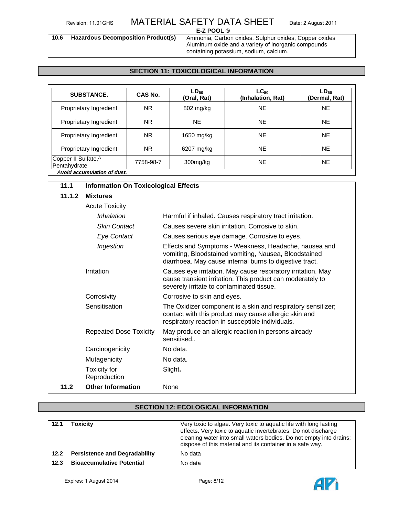**10.6 Hazardous Decomposition Product(s)** Ammonia, Carbon oxides, Sulphur oxides, Copper oxides Aluminum oxide and a variety of inorganic compounds containing potassium, sodium, calcium.

### **SECTION 11: TOXICOLOGICAL INFORMATION**

| <b>SUBSTANCE.</b>                   | CAS No.   | $LD_{50}$<br>(Oral, Rat) | $LC_{50}$<br>(Inhalation, Rat) | $LD_{50}$<br>(Dermal, Rat) |
|-------------------------------------|-----------|--------------------------|--------------------------------|----------------------------|
| Proprietary Ingredient              | NR.       | 802 mg/kg                | <b>NE</b>                      | <b>NE</b>                  |
| Proprietary Ingredient              | NR.       | <b>NE</b>                | <b>NE</b>                      | <b>NE</b>                  |
| Proprietary Ingredient              | <b>NR</b> | 1650 mg/kg               | <b>NE</b>                      | <b>NE</b>                  |
| Proprietary Ingredient              | <b>NR</b> | 6207 mg/kg               | <b>NE</b>                      | <b>NE</b>                  |
| Copper II Sulfate,^<br>Pentahydrate | 7758-98-7 | 300mg/kg                 | <b>NE</b>                      | <b>NE</b>                  |
| Avoid accumulation of dust.         |           |                          |                                |                            |

| 11.1   | <b>Information On Toxicological Effects</b> |                                                                                                                                                                           |  |  |
|--------|---------------------------------------------|---------------------------------------------------------------------------------------------------------------------------------------------------------------------------|--|--|
| 11.1.2 | <b>Mixtures</b>                             |                                                                                                                                                                           |  |  |
|        | <b>Acute Toxicity</b>                       |                                                                                                                                                                           |  |  |
|        | Inhalation                                  | Harmful if inhaled. Causes respiratory tract irritation.                                                                                                                  |  |  |
|        | <b>Skin Contact</b>                         | Causes severe skin irritation. Corrosive to skin.                                                                                                                         |  |  |
|        | <b>Eye Contact</b>                          | Causes serious eye damage. Corrosive to eyes.                                                                                                                             |  |  |
|        | Ingestion                                   | Effects and Symptoms - Weakness, Headache, nausea and<br>vomiting, Bloodstained vomiting, Nausea, Bloodstained<br>diarrhoea. May cause internal burns to digestive tract. |  |  |
|        | Irritation                                  | Causes eye irritation. May cause respiratory irritation. May<br>cause transient irritation. This product can moderately to<br>severely irritate to contaminated tissue.   |  |  |
|        | Corrosivity                                 | Corrosive to skin and eyes.                                                                                                                                               |  |  |
|        | Sensitisation                               | The Oxidizer component is a skin and respiratory sensitizer;<br>contact with this product may cause allergic skin and<br>respiratory reaction in susceptible individuals. |  |  |
|        | <b>Repeated Dose Toxicity</b>               | May produce an allergic reaction in persons already<br>sensitised.                                                                                                        |  |  |
|        | Carcinogenicity                             | No data.                                                                                                                                                                  |  |  |
|        | Mutagenicity                                | No data.                                                                                                                                                                  |  |  |
|        | Toxicity for<br>Reproduction                | Slight.                                                                                                                                                                   |  |  |
| 11.2   | <b>Other Information</b>                    | None                                                                                                                                                                      |  |  |

# **SECTION 12: ECOLOGICAL INFORMATION**

| 12.1 | Toxicity                             | Very toxic to algae. Very toxic to aquatic life with long lasting<br>effects. Very toxic to aquatic invertebrates. Do not discharge<br>cleaning water into small waters bodies. Do not empty into drains;<br>dispose of this material and its container in a safe way. |
|------|--------------------------------------|------------------------------------------------------------------------------------------------------------------------------------------------------------------------------------------------------------------------------------------------------------------------|
| 12.2 | <b>Persistence and Degradability</b> | No data                                                                                                                                                                                                                                                                |
| 12.3 | <b>Bioaccumulative Potential</b>     | No data                                                                                                                                                                                                                                                                |

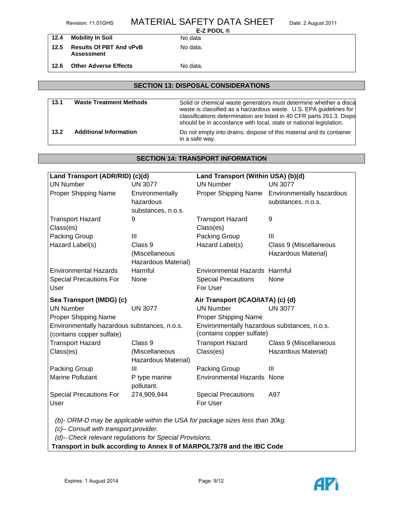|      | Revision: 11.01GHS                                  | <b>MATERIAL SAFETY DATA SHEET</b> | Date: 2 August 2011 |
|------|-----------------------------------------------------|-----------------------------------|---------------------|
|      |                                                     | E-Z POOL $\circledR$              |                     |
| 12.4 | <b>Mobility In Soil</b>                             | No data                           |                     |
| 12.5 | <b>Results Of PBT And vPvB</b><br><b>Assessment</b> | No data.                          |                     |
| 12.6 | <b>Other Adverse Effects</b>                        | No data.                          |                     |

# **SECTION 13: DISPOSAL CONSIDERATIONS**

| 13.1 | <b>Waste Treatment Methods</b> | Solid or chemical waste generators must determine whether a discal<br>waste is classified as a harzardous waste. U.S. EPA guidelines for<br>classifications determination are listed in 40 CFR parts 261.3. Dispo<br>should be in accordance with local, state or national legislation. |
|------|--------------------------------|-----------------------------------------------------------------------------------------------------------------------------------------------------------------------------------------------------------------------------------------------------------------------------------------|
| 13.2 | <b>Additional Information</b>  | Do not empty into drains; dispose of this material and its container<br>in a safe way.                                                                                                                                                                                                  |

# **SECTION 14: TRANSPORT INFORMATION**

| Land Transport (ADR/RID) (c)(d)                                           |                                                  | Land Transport (Within USA) (b)(d)                                            |                                                 |  |  |
|---------------------------------------------------------------------------|--------------------------------------------------|-------------------------------------------------------------------------------|-------------------------------------------------|--|--|
| <b>UN Number</b>                                                          | <b>UN 3077</b>                                   | <b>UN Number</b>                                                              | <b>UN 3077</b>                                  |  |  |
| Proper Shipping Name                                                      | Environmentally<br>hazardous                     | Proper Shipping Name                                                          | Environmentally hazardous<br>substances, n.o.s. |  |  |
| <b>Transport Hazard</b><br>Class(es)                                      | substances, n.o.s.<br>9                          | <b>Transport Hazard</b><br>Class(es)                                          | 9                                               |  |  |
| Packing Group                                                             | III                                              | Packing Group                                                                 | III                                             |  |  |
| Hazard Label(s)                                                           | Class 9<br>(Miscellaneous<br>Hazardous Material) | Hazard Label(s)                                                               | Class 9 (Miscellaneous<br>Hazardous Material)   |  |  |
| <b>Environmental Hazards</b><br><b>Special Precautions For</b><br>User    | Harmful<br>None                                  | Environmental Hazards Harmful<br><b>Special Precautions</b><br>For User       | None                                            |  |  |
| Sea Transport (IMDG) (c)                                                  |                                                  |                                                                               | Air Transport (ICAO/IATA) (c) (d)               |  |  |
| <b>UN Number</b><br>Proper Shipping Name                                  | <b>UN 3077</b>                                   | <b>UN Number</b><br>Proper Shipping Name                                      | <b>UN 3077</b>                                  |  |  |
| Environmentally hazardous substances, n.o.s.<br>(contains copper sulfate) |                                                  | Environmentally hazardous substances, n.o.s.<br>(contains copper sulfate)     |                                                 |  |  |
| <b>Transport Hazard</b>                                                   | Class 9                                          | <b>Transport Hazard</b>                                                       | Class 9 (Miscellaneous                          |  |  |
| Class(es)                                                                 | (Miscellaneous<br>Hazardous Material)            | Class(es)                                                                     | Hazardous Material)                             |  |  |
| Packing Group                                                             | Ш                                                | Packing Group                                                                 | III                                             |  |  |
| <b>Marine Pollutant</b>                                                   | P type marine<br>pollutant.                      | <b>Environmental Hazards None</b>                                             |                                                 |  |  |
| <b>Special Precautions For</b>                                            | 274,909,944                                      | <b>Special Precautions</b>                                                    | A97                                             |  |  |
| User                                                                      |                                                  | For User                                                                      |                                                 |  |  |
| (c)- Consult with transport provider.                                     |                                                  | (b)- ORM-D may be applicable within the USA for package sizes less than 30kg. |                                                 |  |  |

*(d)– Check relevant regulations for Special Provisions.* 

**Transport in bulk according to Annex II of MARPOL73/78 and the IBC Code**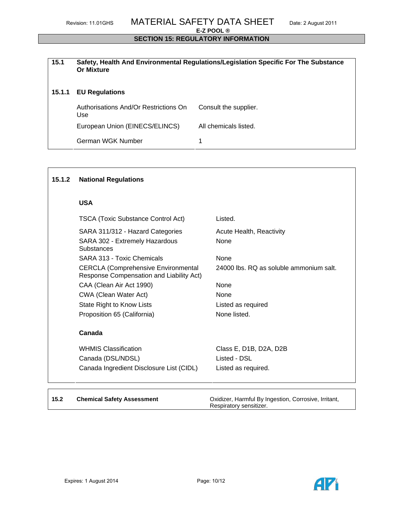#### **SECTION 15: REGULATORY INFORMATION**

# **15.1 Safety, Health And Environmental Regulations/Legislation Specific For The Substance Or Mixture**

# **15.1.1 EU Regulations**

| Authorisations And/Or Restrictions On<br>Use | Consult the supplier. |
|----------------------------------------------|-----------------------|
| European Union (EINECS/ELINCS)               | All chemicals listed. |
| German WGK Number                            |                       |

#### **National Regulations 15.1.2**

**USA** 

| <b>TSCA (Toxic Substance Control Act)</b>                                              | Listed.                                |
|----------------------------------------------------------------------------------------|----------------------------------------|
| SARA 311/312 - Hazard Categories                                                       | Acute Health, Reactivity               |
| SARA 302 - Extremely Hazardous<br>Substances                                           | <b>None</b>                            |
| SARA 313 - Toxic Chemicals                                                             | None                                   |
| <b>CERCLA (Comprehensive Environmental</b><br>Response Compensation and Liability Act) | 24000 lbs. RO as soluble ammonium salt |
| CAA (Clean Air Act 1990)                                                               | <b>None</b>                            |
| CWA (Clean Water Act)                                                                  | <b>None</b>                            |
| State Right to Know Lists                                                              | Listed as required                     |
| Proposition 65 (California)                                                            | None listed.                           |
| Canada                                                                                 |                                        |
| <b>WHMIS Classification</b>                                                            | Class E, D1B, D2A, D2B                 |
| Canada (DSL/NDSL)                                                                      | Listed - DSL                           |
| Canada Ingredient Disclosure List (CIDL)                                               | Listed as required.                    |
|                                                                                        |                                        |
|                                                                                        |                                        |

# **15.2**

 **Chemical Safety Assessment** Oxidizer, Harmful By Ingestion, Corrosive, Irritant, Respiratory sensitizer.

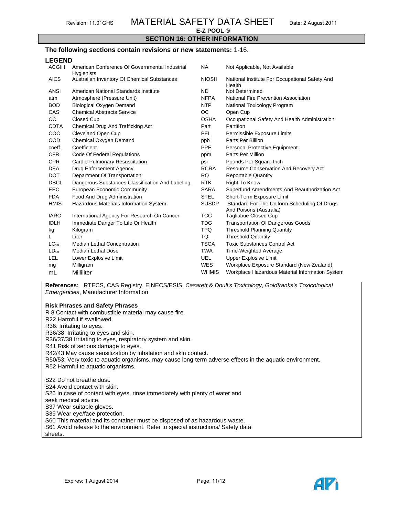# **SECTION 16: OTHER INFORMATION**

#### **The following sections contain revisions or new statements:** 1-16.

#### **LEGEND**

| <b>ACGIH</b> | American Conference Of Governmental Industrial<br><b>Hygienists</b> | <b>NA</b>    | Not Applicable, Not Available                                           |
|--------------|---------------------------------------------------------------------|--------------|-------------------------------------------------------------------------|
| <b>AICS</b>  | Australian Inventory Of Chemical Substances                         | <b>NIOSH</b> | National Institute For Occupational Safety And<br>Health                |
| <b>ANSI</b>  | American National Standards Institute                               | <b>ND</b>    | Not Determined                                                          |
| atm          | Atmosphere (Pressure Unit)                                          | <b>NFPA</b>  | National Fire Prevention Association                                    |
| <b>BOD</b>   | <b>Biological Oxygen Demand</b>                                     | <b>NTP</b>   | National Toxicology Program                                             |
| CAS          | <b>Chemical Abstracts Service</b>                                   | OC.          | Open Cup                                                                |
| CC           | Closed Cup                                                          | <b>OSHA</b>  | Occupational Safety And Health Administration                           |
| <b>CDTA</b>  | Chemical Drug And Trafficking Act                                   | Part         | Partition                                                               |
| COC          | Cleveland Open Cup                                                  | <b>PEL</b>   | Permissible Exposure Limits                                             |
| <b>COD</b>   | Chemical Oxygen Demand                                              | ppb          | Parts Per Billion                                                       |
| coeff.       | Coefficient                                                         | <b>PPE</b>   | Personal Protective Equipment                                           |
| CFR.         | Code Of Federal Regulations                                         | ppm          | Parts Per Million                                                       |
| <b>CPR</b>   | Cardio-Pulmonary Resuscitation                                      | psi          | Pounds Per Square Inch                                                  |
| <b>DEA</b>   | <b>Drug Enforcement Agency</b>                                      | <b>RCRA</b>  | Resource Conservation And Recovery Act                                  |
| <b>DOT</b>   | Department Of Transportation                                        | <b>RQ</b>    | <b>Reportable Quantity</b>                                              |
| <b>DSCL</b>  | Dangerous Substances Classification And Labeling                    | <b>RTK</b>   | <b>Right To Know</b>                                                    |
| <b>EEC</b>   | <b>European Economic Community</b>                                  | <b>SARA</b>  | Superfund Amendments And Reauthorization Act                            |
| <b>FDA</b>   | Food And Drug Administration                                        | <b>STEL</b>  | Short-Term Exposure Limit                                               |
| <b>HMIS</b>  | Hazardous Materials Information System                              | <b>SUSDP</b> | Standard For The Uniform Scheduling Of Drugs<br>And Poisons (Australia) |
| <b>IARC</b>  | International Agency For Research On Cancer                         | <b>TCC</b>   | <b>Tagliabue Closed Cup</b>                                             |
| <b>IDLH</b>  | Immediate Danger To Life Or Health                                  | <b>TDG</b>   | <b>Transportation Of Dangerous Goods</b>                                |
| kg           | Kilogram                                                            | <b>TPQ</b>   | <b>Threshold Planning Quantity</b>                                      |
| L            | Liter                                                               | TQ           | <b>Threshold Quantity</b>                                               |
| $LC_{50}$    | <b>Median Lethal Concentration</b>                                  | <b>TSCA</b>  | <b>Toxic Substances Control Act</b>                                     |
| $LD_{50}$    | <b>Median Lethal Dose</b>                                           | <b>TWA</b>   | Time-Weighted Average                                                   |
| <b>LEL</b>   | Lower Explosive Limit                                               | <b>UEL</b>   | <b>Upper Explosive Limit</b>                                            |
| mg           | Milligram                                                           | <b>WES</b>   | Workplace Exposure Standard (New Zealand)                               |
| mL           | Milliliter                                                          | <b>WHMIS</b> | Workplace Hazardous Material Information System                         |

**References:** RTECS, CAS Registry, EINECS/ESIS, *Casarett & Doull's Toxicology*, *Goldfranks's Toxicological Emergencies*, Manufacturer Information

#### **Risk Phrases and Safety Phrases**

R 8 Contact with combustible material may cause fire. R22 Harmful if swallowed. R36: Irritating to eyes. R36/38: Irritating to eyes and skin. R36/37/38 Irritating to eyes, respiratory system and skin. R41 Risk of serious damage to eyes. R42/43 May cause sensitization by inhalation and skin contact. R50/53: Very toxic to aquatic organisms, may cause long-term adverse effects in the aquatic environment. R52 Harmful to aquatic organisms. S22 Do not breathe dust. S24 Avoid contact with skin. S26 In case of contact with eyes, rinse immediately with plenty of water and seek medical advice.

S37 Wear suitable gloves.

S39 Wear eye/face protection.

S60 This material and its container must be disposed of as hazardous waste.

S61 Avoid release to the environment. Refer to special instructions/ Safety data

sheets.